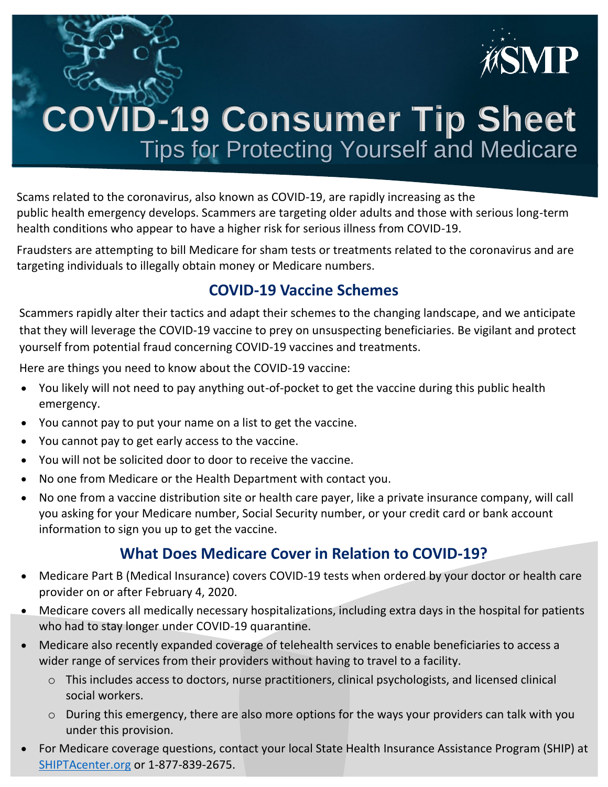

# **COVID-19 Consumer Tip Sheet** Tips for Protecting Yourself and Medicare

Scams related to the coronavirus, also known as COVID-19, are rapidly increasing as the public health emergency develops. Scammers are targeting older adults and those with serious long-term health conditions who appear to have a higher risk for serious illness from COVID-19.

Fraudsters are attempting to bill Medicare for sham tests or treatments related to the coronavirus and are targeting individuals to illegally obtain money or Medicare numbers.

### **COVID-19 Vaccine Schemes**

Scammers rapidly alter their tactics and adapt their schemes to the changing landscape, and we anticipate that they will leverage the COVID-19 vaccine to prey on unsuspecting beneficiaries. Be vigilant and protect yourself from potential fraud concerning COVID-19 vaccines and treatments.

Here are things you need to know about the COVID-19 vaccine:

- You likely will not need to pay anything out-of-pocket to get the vaccine during this public health emergency.
- You cannot pay to put your name on a list to get the vaccine.
- You cannot pay to get early access to the vaccine.
- You will not be solicited door to door to receive the vaccine.
- No one from Medicare or the Health Department with contact you.
- No one from a vaccine distribution site or health care payer, like a private insurance company, will call you asking for your Medicare number, Social Security number, or your credit card or bank account information to sign you up to get the vaccine.

## **What Does Medicare Cover in Relation to COVID-19?**

- Medicare Part B (Medical Insurance) covers COVID-19 tests when ordered by your doctor or health care provider on or after February 4, 2020.
- Medicare covers all medically necessary hospitalizations, including extra days in the hospital for patients who had to stay longer under COVID-19 quarantine.
- Medicare also recently expanded coverage of telehealth services to enable beneficiaries to access a wider range of services from their providers without having to travel to a facility.
	- o This includes access to doctors, nurse practitioners, clinical psychologists, and licensed clinical social workers.
	- o During this emergency, there are also more options for the ways your providers can talk with you under this provision.
- For Medicare coverage questions, contact your local State Health Insurance Assistance Program (SHIP) at [SHIPTAcenter.org](https://shiptacenter.org/) or 1-877-839-2675.